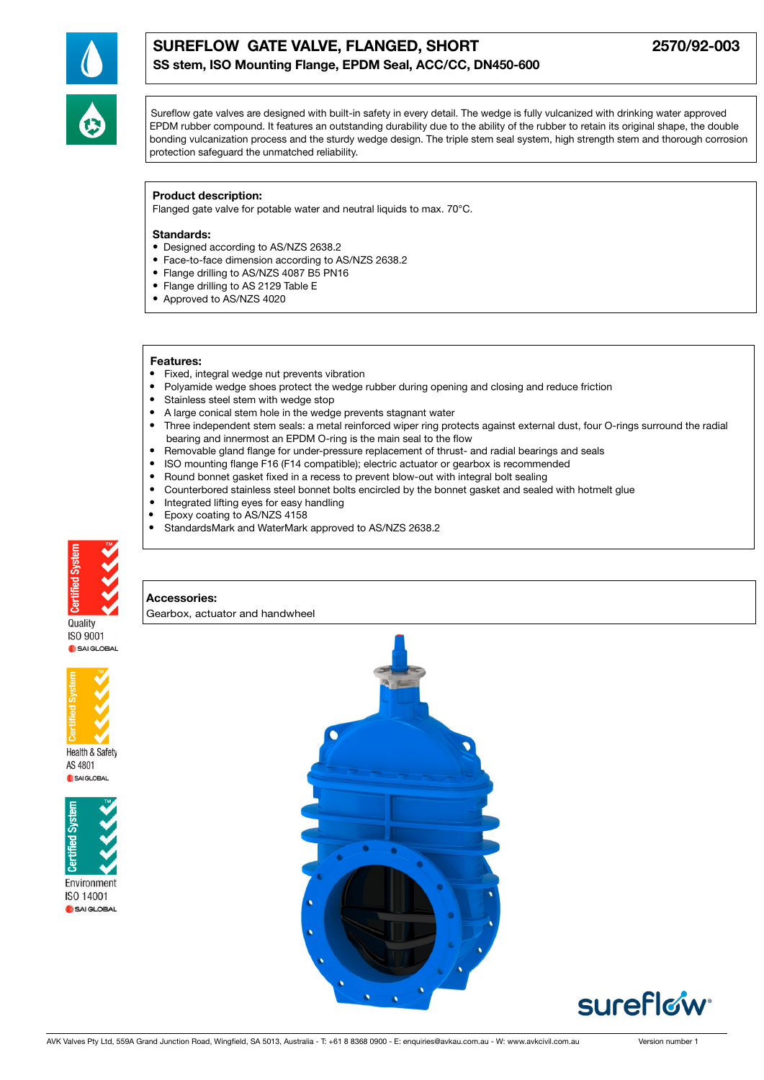

# SUREFLOW GATE VALVE, FLANGED, SHORT 2570/92-003 SS stem, ISO Mounting Flange, EPDM Seal, ACC/CC, DN450-600

Sureflow gate valves are designed with built-in safety in every detail. The wedge is fully vulcanized with drinking water approved EPDM rubber compound. It features an outstanding durability due to the ability of the rubber to retain its original shape, the double bonding vulcanization process and the sturdy wedge design. The triple stem seal system, high strength stem and thorough corrosion protection safeguard the unmatched reliability.

### Product description:

Flanged gate valve for potable water and neutral liquids to max. 70°C.

### Standards:

- Designed according to AS/NZS 2638.2
- Face-to-face dimension according to AS/NZS 2638.2
- Flange drilling to AS/NZS 4087 B5 PN16
- Flange drilling to AS 2129 Table E
- Approved to AS/NZS 4020

#### Features:

- Fixed, integral wedge nut prevents vibration
- Polyamide wedge shoes protect the wedge rubber during opening and closing and reduce friction
- Stainless steel stem with wedge stop
- A large conical stem hole in the wedge prevents stagnant water
- Three independent stem seals: a metal reinforced wiper ring protects against external dust, four O-rings surround the radial bearing and innermost an EPDM O-ring is the main seal to the flow
- Removable gland flange for under-pressure replacement of thrust- and radial bearings and seals
- ISO mounting flange F16 (F14 compatible); electric actuator or gearbox is recommended
- Round bonnet gasket fixed in a recess to prevent blow-out with integral bolt sealing
- Counterbored stainless steel bonnet bolts encircled by the bonnet gasket and sealed with hotmelt glue
- Integrated lifting eyes for easy handling
- Epoxy coating to AS/NZS 4158
- StandardsMark and WaterMark approved to AS/NZS 2638.2



#### Accessories:

Gearbox, actuator and handwheel

Quality ISO 9001 SAI GLOBAL